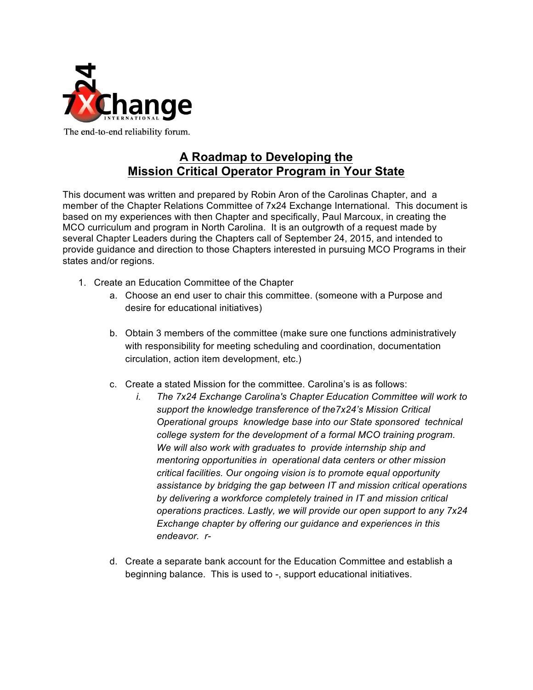

### **A Roadmap to Developing the Mission Critical Operator Program in Your State**

This document was written and prepared by Robin Aron of the Carolinas Chapter, and a member of the Chapter Relations Committee of 7x24 Exchange International. This document is based on my experiences with then Chapter and specifically, Paul Marcoux, in creating the MCO curriculum and program in North Carolina. It is an outgrowth of a request made by several Chapter Leaders during the Chapters call of September 24, 2015, and intended to provide guidance and direction to those Chapters interested in pursuing MCO Programs in their states and/or regions.

- 1. Create an Education Committee of the Chapter
	- a. Choose an end user to chair this committee. (someone with a Purpose and desire for educational initiatives)
	- b. Obtain 3 members of the committee (make sure one functions administratively with responsibility for meeting scheduling and coordination, documentation circulation, action item development, etc.)
	- c. Create a stated Mission for the committee. Carolina's is as follows:
		- *i. The 7x24 Exchange Carolina's Chapter Education Committee will work to support the knowledge transference of the7x24's Mission Critical Operational groups knowledge base into our State sponsored technical college system for the development of a formal MCO training program. We will also work with graduates to provide internship ship and mentoring opportunities in operational data centers or other mission critical facilities. Our ongoing vision is to promote equal opportunity assistance by bridging the gap between IT and mission critical operations by delivering a workforce completely trained in IT and mission critical operations practices. Lastly, we will provide our open support to any 7x24 Exchange chapter by offering our guidance and experiences in this endeavor. r-*
	- d. Create a separate bank account for the Education Committee and establish a beginning balance. This is used to -, support educational initiatives.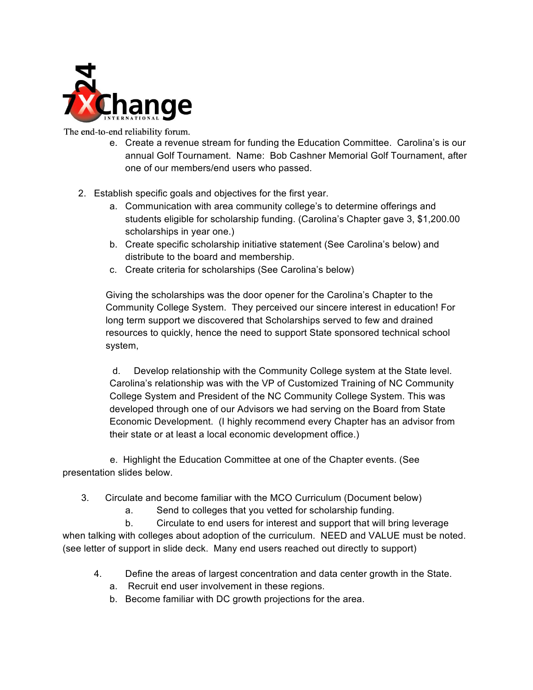

- e. Create a revenue stream for funding the Education Committee. Carolina's is our annual Golf Tournament. Name: Bob Cashner Memorial Golf Tournament, after one of our members/end users who passed.
- 2. Establish specific goals and objectives for the first year.
	- a. Communication with area community college's to determine offerings and students eligible for scholarship funding. (Carolina's Chapter gave 3, \$1,200.00 scholarships in year one.)
	- b. Create specific scholarship initiative statement (See Carolina's below) and distribute to the board and membership.
	- c. Create criteria for scholarships (See Carolina's below)

Giving the scholarships was the door opener for the Carolina's Chapter to the Community College System. They perceived our sincere interest in education! For long term support we discovered that Scholarships served to few and drained resources to quickly, hence the need to support State sponsored technical school system,

 d. Develop relationship with the Community College system at the State level. Carolina's relationship was with the VP of Customized Training of NC Community College System and President of the NC Community College System. This was developed through one of our Advisors we had serving on the Board from State Economic Development. (I highly recommend every Chapter has an advisor from their state or at least a local economic development office.)

 e. Highlight the Education Committee at one of the Chapter events. (See presentation slides below.

- 3. Circulate and become familiar with the MCO Curriculum (Document below)
	- a. Send to colleges that you vetted for scholarship funding.

b. Circulate to end users for interest and support that will bring leverage when talking with colleges about adoption of the curriculum. NEED and VALUE must be noted. (see letter of support in slide deck. Many end users reached out directly to support)

- 4. Define the areas of largest concentration and data center growth in the State.
	- a. Recruit end user involvement in these regions.
	- b. Become familiar with DC growth projections for the area.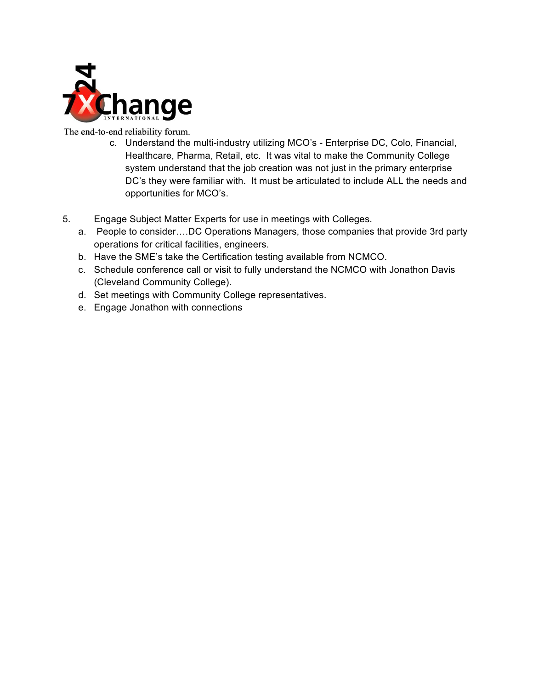

- c. Understand the multi-industry utilizing MCO's Enterprise DC, Colo, Financial, Healthcare, Pharma, Retail, etc. It was vital to make the Community College system understand that the job creation was not just in the primary enterprise DC's they were familiar with. It must be articulated to include ALL the needs and opportunities for MCO's.
- 5. Engage Subject Matter Experts for use in meetings with Colleges.
	- a. People to consider….DC Operations Managers, those companies that provide 3rd party operations for critical facilities, engineers.
	- b. Have the SME's take the Certification testing available from NCMCO.
	- c. Schedule conference call or visit to fully understand the NCMCO with Jonathon Davis (Cleveland Community College).
	- d. Set meetings with Community College representatives.
	- e. Engage Jonathon with connections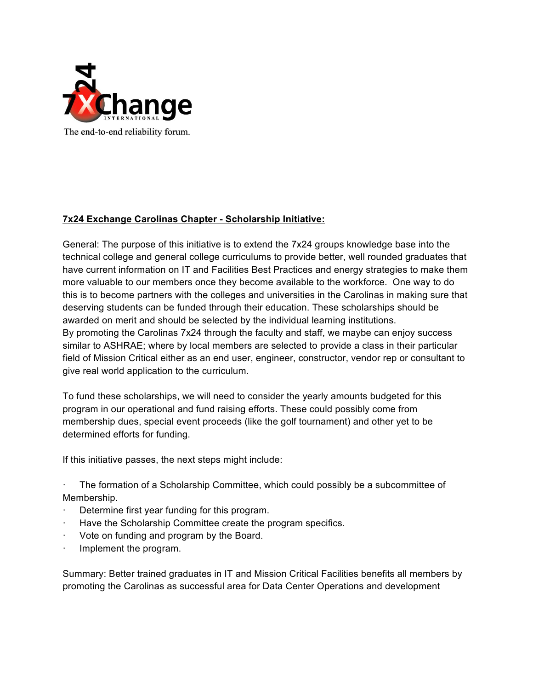

### **7x24 Exchange Carolinas Chapter - Scholarship Initiative:**

General: The purpose of this initiative is to extend the 7x24 groups knowledge base into the technical college and general college curriculums to provide better, well rounded graduates that have current information on IT and Facilities Best Practices and energy strategies to make them more valuable to our members once they become available to the workforce. One way to do this is to become partners with the colleges and universities in the Carolinas in making sure that deserving students can be funded through their education. These scholarships should be awarded on merit and should be selected by the individual learning institutions. By promoting the Carolinas 7x24 through the faculty and staff, we maybe can enjoy success similar to ASHRAE; where by local members are selected to provide a class in their particular field of Mission Critical either as an end user, engineer, constructor, vendor rep or consultant to give real world application to the curriculum.

To fund these scholarships, we will need to consider the yearly amounts budgeted for this program in our operational and fund raising efforts. These could possibly come from membership dues, special event proceeds (like the golf tournament) and other yet to be determined efforts for funding.

If this initiative passes, the next steps might include:

· The formation of a Scholarship Committee, which could possibly be a subcommittee of Membership.

- Determine first year funding for this program.
- Have the Scholarship Committee create the program specifics.
- Vote on funding and program by the Board.
- Implement the program.

Summary: Better trained graduates in IT and Mission Critical Facilities benefits all members by promoting the Carolinas as successful area for Data Center Operations and development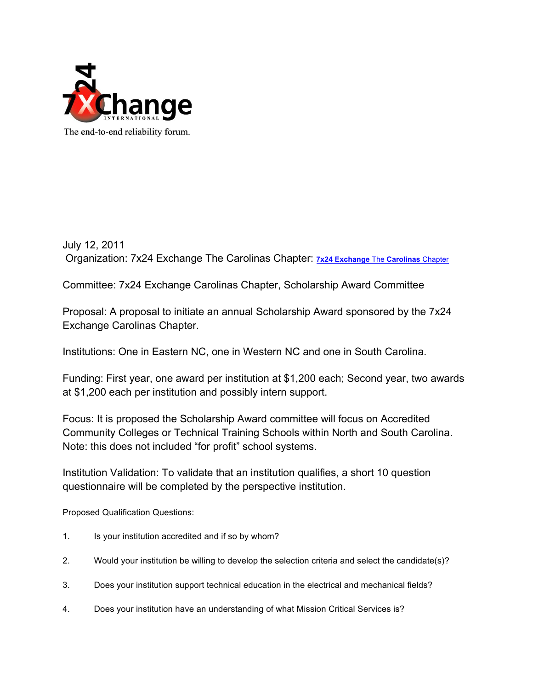

July 12, 2011 Organization: 7x24 Exchange The Carolinas Chapter: **7x24 Exchange** The **Carolinas** Chapter

Committee: 7x24 Exchange Carolinas Chapter, Scholarship Award Committee

Proposal: A proposal to initiate an annual Scholarship Award sponsored by the 7x24 Exchange Carolinas Chapter.

Institutions: One in Eastern NC, one in Western NC and one in South Carolina.

Funding: First year, one award per institution at \$1,200 each; Second year, two awards at \$1,200 each per institution and possibly intern support.

Focus: It is proposed the Scholarship Award committee will focus on Accredited Community Colleges or Technical Training Schools within North and South Carolina. Note: this does not included "for profit" school systems.

Institution Validation: To validate that an institution qualifies, a short 10 question questionnaire will be completed by the perspective institution.

Proposed Qualification Questions:

- 1. Is your institution accredited and if so by whom?
- 2. Would your institution be willing to develop the selection criteria and select the candidate(s)?
- 3. Does your institution support technical education in the electrical and mechanical fields?
- 4. Does your institution have an understanding of what Mission Critical Services is?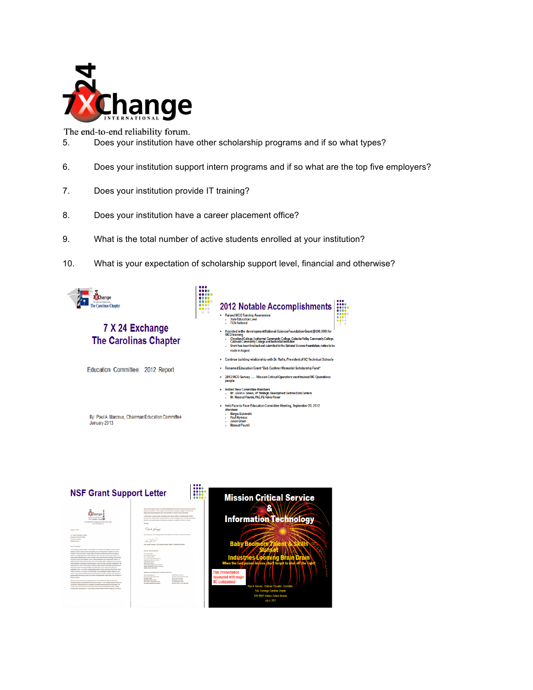

- 5. Does your institution have other scholarship programs and if so what types?
- 6. Does your institution support intern programs and if so what are the top five employers?
- 7. Does your institution provide IT training?
- 8. Does your institution have a career placement office?
- 9. What is the total number of active students enrolled at your institution?
- 10. What is your expectation of scholarship support level, financial and otherwise?



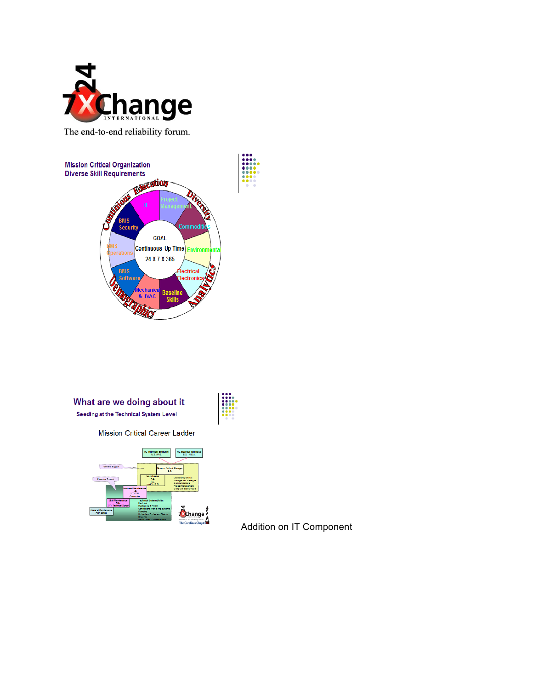



#### What are we doing about it Seeding at the Technical System Level

**Mission Critical Career Ladder** 



Addition on IT Component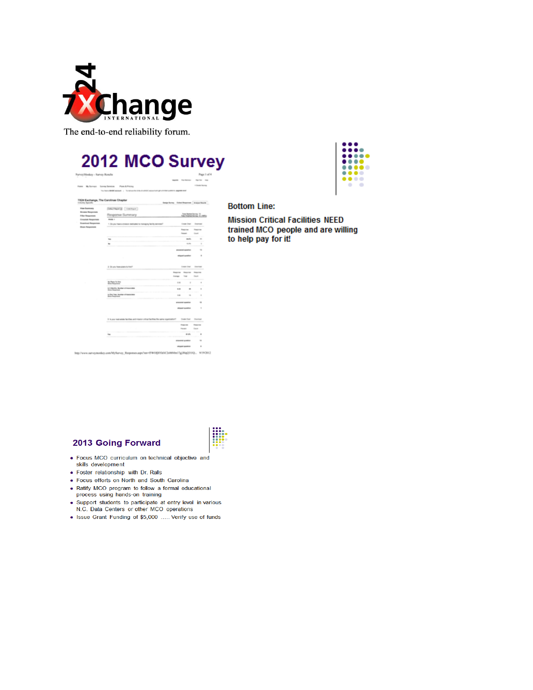

# 2012 MCO Survey  $\overline{a}$

**Northern Press** 



TX24 Eashange, The Carolinas Chapter **Interfaces** Editor Regional Australians Discharg (natur) Response Summary **Antiotics 2<sub>.00</sub>** 1 Dogs has a time and **Texas**  $\frac{1}{10}$  $\frac{1}{1}$  $\ddot{\phantom{0}}$ 3 Drum has panch but **SOUTH STANDA BARN CAN STATISTICS** Tagona<br>Tanzan  $\overline{a}$ **Links CONTRACTOR** in Reporterador/W1003190C34MMa13plNa0T00. 919302

#### **Bottom Line:**

**Mission Critical Facilities NEED** trained MCO people and are willing to help pay for it!

#### **2013 Going Forward**

- · Focus MCO curriculum on technical objective and skills development
- · Foster relationship with Dr. Ralls
- · Focus efforts on North and South Carolina
- Ratify MCO program to follow a formal educational process using hands-on training
- Support students to participate at entry level in various N.C. Data Centers or other MCO operations
- Issue Grant Funding of \$5,000 ..... Verify use of funds

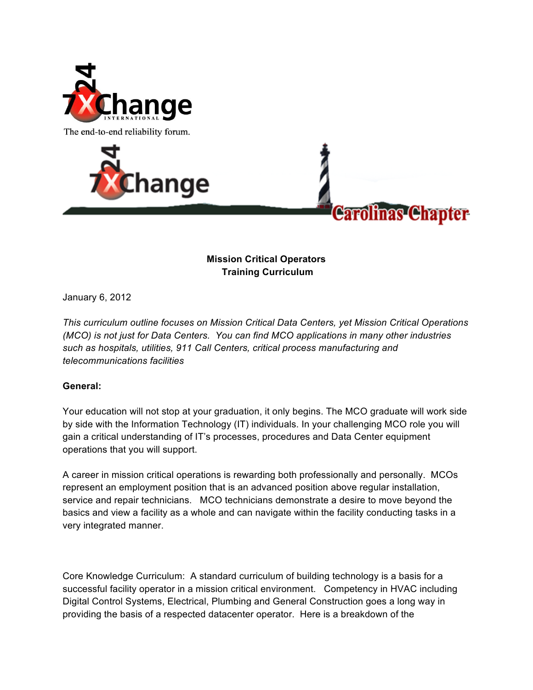





### **Mission Critical Operators Training Curriculum**

January 6, 2012

*This curriculum outline focuses on Mission Critical Data Centers, yet Mission Critical Operations (MCO) is not just for Data Centers. You can find MCO applications in many other industries such as hospitals, utilities, 911 Call Centers, critical process manufacturing and telecommunications facilities*

### **General:**

Your education will not stop at your graduation, it only begins. The MCO graduate will work side by side with the Information Technology (IT) individuals. In your challenging MCO role you will gain a critical understanding of IT's processes, procedures and Data Center equipment operations that you will support.

A career in mission critical operations is rewarding both professionally and personally. MCOs represent an employment position that is an advanced position above regular installation, service and repair technicians. MCO technicians demonstrate a desire to move beyond the basics and view a facility as a whole and can navigate within the facility conducting tasks in a very integrated manner.

Core Knowledge Curriculum: A standard curriculum of building technology is a basis for a successful facility operator in a mission critical environment. Competency in HVAC including Digital Control Systems, Electrical, Plumbing and General Construction goes a long way in providing the basis of a respected datacenter operator. Here is a breakdown of the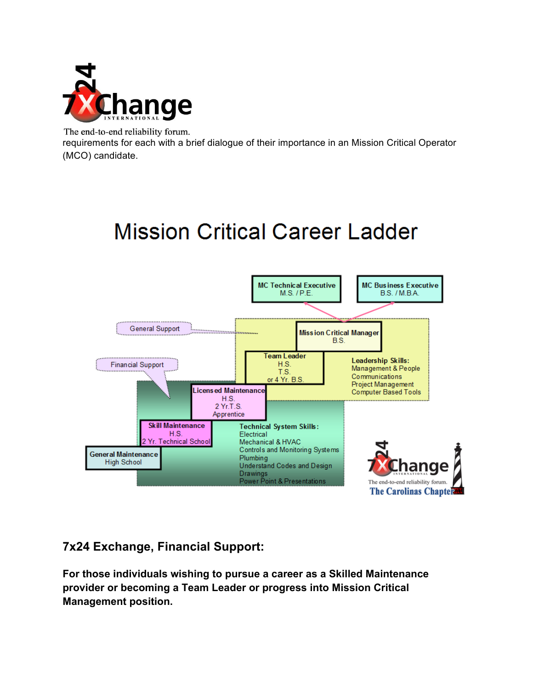

requirements for each with a brief dialogue of their importance in an Mission Critical Operator (MCO) candidate.

# **Mission Critical Career Ladder**



### **7x24 Exchange, Financial Support:**

**For those individuals wishing to pursue a career as a Skilled Maintenance provider or becoming a Team Leader or progress into Mission Critical Management position.**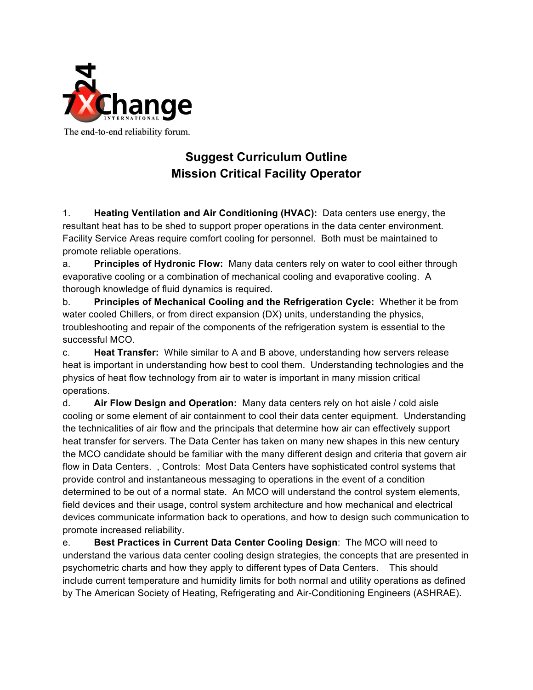

# **Suggest Curriculum Outline Mission Critical Facility Operator**

1. **Heating Ventilation and Air Conditioning (HVAC):** Data centers use energy, the resultant heat has to be shed to support proper operations in the data center environment. Facility Service Areas require comfort cooling for personnel. Both must be maintained to promote reliable operations.

a. **Principles of Hydronic Flow:** Many data centers rely on water to cool either through evaporative cooling or a combination of mechanical cooling and evaporative cooling. A thorough knowledge of fluid dynamics is required.

b. **Principles of Mechanical Cooling and the Refrigeration Cycle:** Whether it be from water cooled Chillers, or from direct expansion (DX) units, understanding the physics, troubleshooting and repair of the components of the refrigeration system is essential to the successful MCO.

c. **Heat Transfer:** While similar to A and B above, understanding how servers release heat is important in understanding how best to cool them. Understanding technologies and the physics of heat flow technology from air to water is important in many mission critical operations.

d. **Air Flow Design and Operation:** Many data centers rely on hot aisle / cold aisle cooling or some element of air containment to cool their data center equipment. Understanding the technicalities of air flow and the principals that determine how air can effectively support heat transfer for servers. The Data Center has taken on many new shapes in this new century the MCO candidate should be familiar with the many different design and criteria that govern air flow in Data Centers. , Controls: Most Data Centers have sophisticated control systems that provide control and instantaneous messaging to operations in the event of a condition determined to be out of a normal state. An MCO will understand the control system elements, field devices and their usage, control system architecture and how mechanical and electrical devices communicate information back to operations, and how to design such communication to promote increased reliability.

e. **Best Practices in Current Data Center Cooling Design**: The MCO will need to understand the various data center cooling design strategies, the concepts that are presented in psychometric charts and how they apply to different types of Data Centers. This should include current temperature and humidity limits for both normal and utility operations as defined by The American Society of Heating, Refrigerating and Air-Conditioning Engineers (ASHRAE).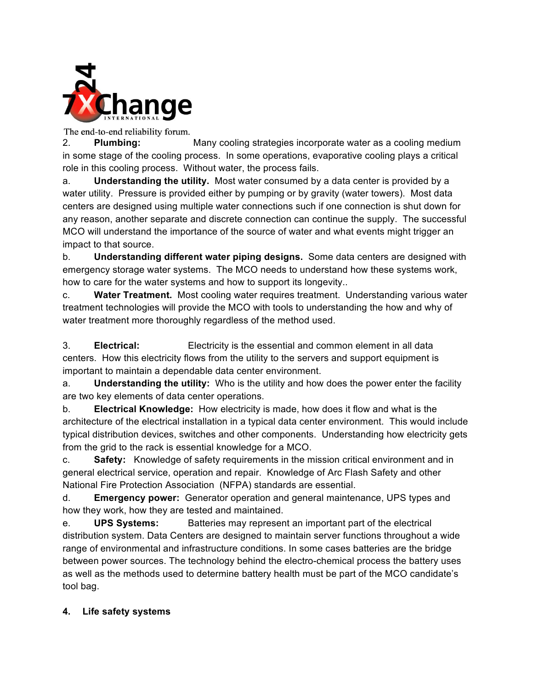

2. **Plumbing:** Many cooling strategies incorporate water as a cooling medium in some stage of the cooling process. In some operations, evaporative cooling plays a critical role in this cooling process. Without water, the process fails.

a. **Understanding the utility.** Most water consumed by a data center is provided by a water utility. Pressure is provided either by pumping or by gravity (water towers). Most data centers are designed using multiple water connections such if one connection is shut down for any reason, another separate and discrete connection can continue the supply. The successful MCO will understand the importance of the source of water and what events might trigger an impact to that source.

b. **Understanding different water piping designs.** Some data centers are designed with emergency storage water systems. The MCO needs to understand how these systems work, how to care for the water systems and how to support its longevity..

c. **Water Treatment.** Most cooling water requires treatment. Understanding various water treatment technologies will provide the MCO with tools to understanding the how and why of water treatment more thoroughly regardless of the method used.

3. **Electrical:** Electricity is the essential and common element in all data centers. How this electricity flows from the utility to the servers and support equipment is important to maintain a dependable data center environment.

a. **Understanding the utility:** Who is the utility and how does the power enter the facility are two key elements of data center operations.

b. **Electrical Knowledge:** How electricity is made, how does it flow and what is the architecture of the electrical installation in a typical data center environment. This would include typical distribution devices, switches and other components. Understanding how electricity gets from the grid to the rack is essential knowledge for a MCO.

c. **Safety:** Knowledge of safety requirements in the mission critical environment and in general electrical service, operation and repair. Knowledge of Arc Flash Safety and other National Fire Protection Association (NFPA) standards are essential.

d. **Emergency power:** Generator operation and general maintenance, UPS types and how they work, how they are tested and maintained.

e. **UPS Systems:** Batteries may represent an important part of the electrical distribution system. Data Centers are designed to maintain server functions throughout a wide range of environmental and infrastructure conditions. In some cases batteries are the bridge between power sources. The technology behind the electro-chemical process the battery uses as well as the methods used to determine battery health must be part of the MCO candidate's tool bag.

### **4. Life safety systems**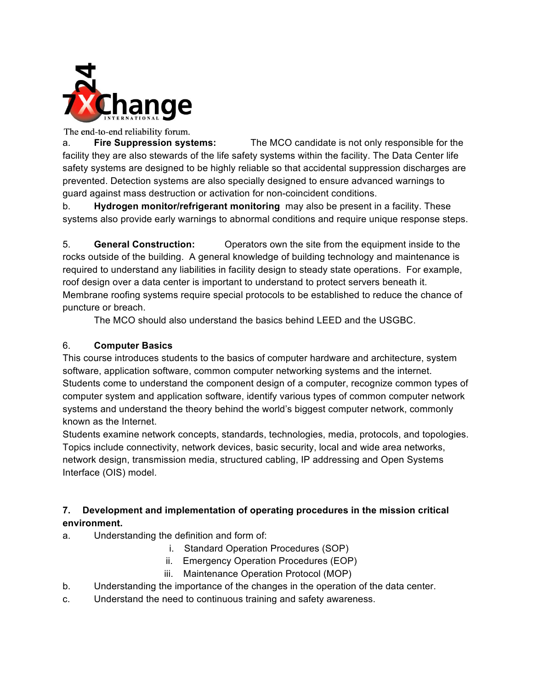

a. **Fire Suppression systems:** The MCO candidate is not only responsible for the facility they are also stewards of the life safety systems within the facility. The Data Center life safety systems are designed to be highly reliable so that accidental suppression discharges are prevented. Detection systems are also specially designed to ensure advanced warnings to guard against mass destruction or activation for non-coincident conditions.

b. **Hydrogen monitor/refrigerant monitoring** may also be present in a facility. These systems also provide early warnings to abnormal conditions and require unique response steps.

5. **General Construction:** Operators own the site from the equipment inside to the rocks outside of the building. A general knowledge of building technology and maintenance is required to understand any liabilities in facility design to steady state operations. For example, roof design over a data center is important to understand to protect servers beneath it. Membrane roofing systems require special protocols to be established to reduce the chance of puncture or breach.

The MCO should also understand the basics behind LEED and the USGBC.

### 6. **Computer Basics**

This course introduces students to the basics of computer hardware and architecture, system software, application software, common computer networking systems and the internet. Students come to understand the component design of a computer, recognize common types of computer system and application software, identify various types of common computer network systems and understand the theory behind the world's biggest computer network, commonly known as the Internet.

Students examine network concepts, standards, technologies, media, protocols, and topologies. Topics include connectivity, network devices, basic security, local and wide area networks, network design, transmission media, structured cabling, IP addressing and Open Systems Interface (OIS) model.

### **7. Development and implementation of operating procedures in the mission critical environment.**

- a. Understanding the definition and form of:
	- i. Standard Operation Procedures (SOP)
	- ii. Emergency Operation Procedures (EOP)
	- iii. Maintenance Operation Protocol (MOP)
- b. Understanding the importance of the changes in the operation of the data center.
- c. Understand the need to continuous training and safety awareness.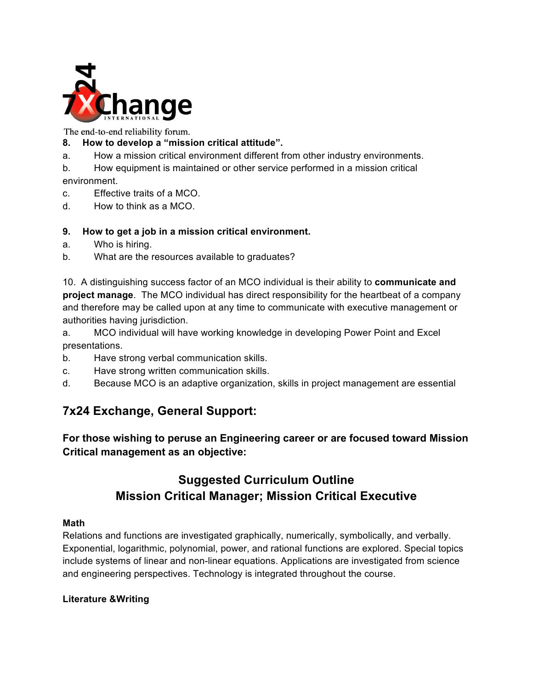

### **8. How to develop a "mission critical attitude".**

- a. How a mission critical environment different from other industry environments.
- b. How equipment is maintained or other service performed in a mission critical environment.
- c. Effective traits of a MCO.
- d. How to think as a MCO.

### **9. How to get a job in a mission critical environment.**

- a. Who is hiring.
- b. What are the resources available to graduates?

10. A distinguishing success factor of an MCO individual is their ability to **communicate and project manage**. The MCO individual has direct responsibility for the heartbeat of a company and therefore may be called upon at any time to communicate with executive management or authorities having jurisdiction.

a. MCO individual will have working knowledge in developing Power Point and Excel presentations.

- b. Have strong verbal communication skills.
- c. Have strong written communication skills.
- d. Because MCO is an adaptive organization, skills in project management are essential

# **7x24 Exchange, General Support:**

**For those wishing to peruse an Engineering career or are focused toward Mission Critical management as an objective:**

### **Suggested Curriculum Outline Mission Critical Manager; Mission Critical Executive**

### **Math**

Relations and functions are investigated graphically, numerically, symbolically, and verbally. Exponential, logarithmic, polynomial, power, and rational functions are explored. Special topics include systems of linear and non-linear equations. Applications are investigated from science and engineering perspectives. Technology is integrated throughout the course.

### **Literature &Writing**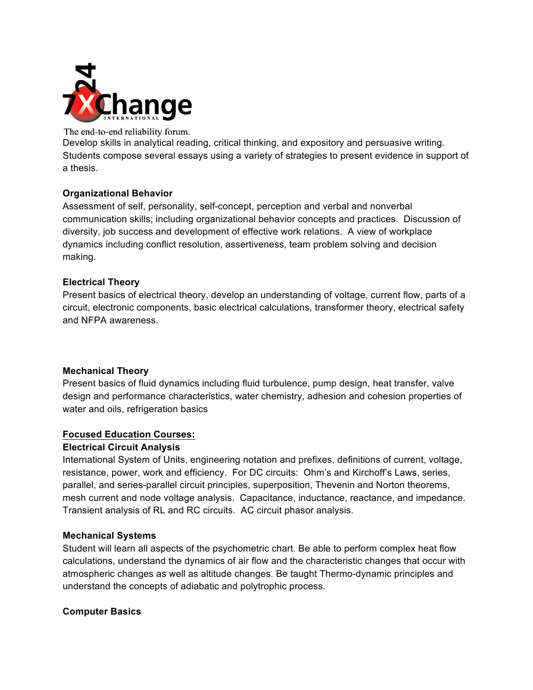

Develop skills in analytical reading, critical thinking, and expository and persuasive writing. Students compose several essays using a variety of strategies to present evidence in support of a thesis.

### **Organizational Behavior**

Assessment of self, personality, self-concept, perception and verbal and nonverbal communication skills; including organizational behavior concepts and practices. Discussion of diversity, job success and development of effective work relations. A view of workplace dynamics including conflict resolution, assertiveness, team problem solving and decision making.

### **Electrical Theory**

Present basics of electrical theory, develop an understanding of voltage, current flow, parts of a circuit, electronic components, basic electrical calculations, transformer theory, electrical safety and NFPA awareness.

### **Mechanical Theory**

Present basics of fluid dynamics including fluid turbulence, pump design, heat transfer, valve design and performance characteristics, water chemistry, adhesion and cohesion properties of water and oils, refrigeration basics

### **Focused Education Courses:**

### **Electrical Circuit Analysis**

International System of Units, engineering notation and prefixes, definitions of current, voltage, resistance, power, work and efficiency. For DC circuits: Ohm's and Kirchoff's Laws, series, parallel, and series-parallel circuit principles, superposition, Thevenin and Norton theorems, mesh current and node voltage analysis. Capacitance, inductance, reactance, and impedance. Transient analysis of RL and RC circuits. AC circuit phasor analysis.

### **Mechanical Systems**

Student will learn all aspects of the psychometric chart. Be able to perform complex heat flow calculations, understand the dynamics of air flow and the characteristic changes that occur with atmospheric changes as well as altitude changes. Be taught Thermo-dynamic principles and understand the concepts of adiabatic and polytrophic process.

### **Computer Basics**